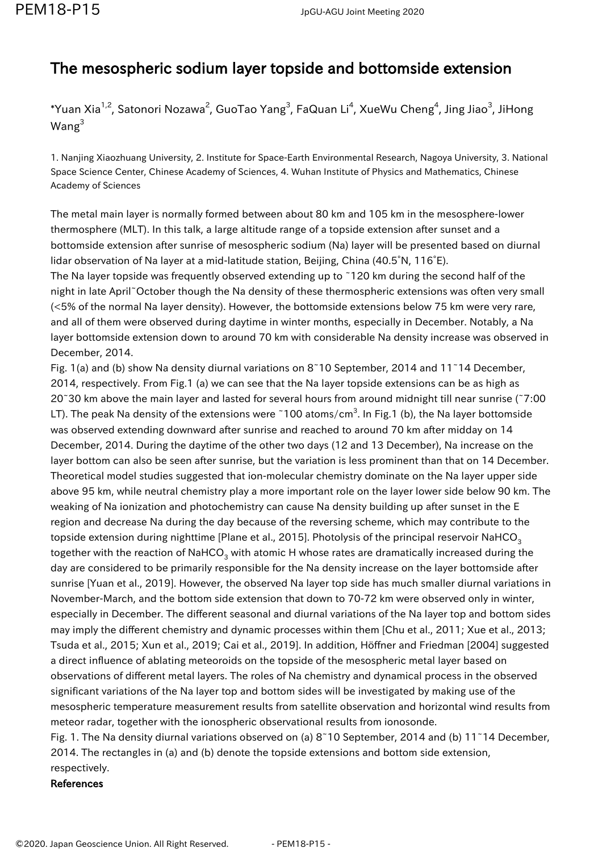## The mesospheric sodium layer topside and bottomside extension

## \*Yuan Xia $^{1,2}$ , Satonori Nozawa $^2$ , GuoTao Yang $^3$ , FaQuan Li $^4$ , XueWu Cheng $^4$ , Jing Jiao $^3$ , JiHong Wang<sup>3</sup>

1. Nanjing Xiaozhuang University, 2. Institute for Space-Earth Environmental Research, Nagoya University, 3. National Space Science Center, Chinese Academy of Sciences, 4. Wuhan Institute of Physics and Mathematics, Chinese Academy of Sciences

The metal main layer is normally formed between about 80 km and 105 km in the mesosphere-lower thermosphere (MLT). In this talk, a large altitude range of a topside extension after sunset and a bottomside extension after sunrise of mesospheric sodium (Na) layer will be presented based on diurnal lidar observation of Na layer at a mid-latitude station, Beijing, China (40.5°N, 116°E).

The Na layer topside was frequently observed extending up to ~120 km during the second half of the night in late April~October though the Na density of these thermospheric extensions was often very small (<5% of the normal Na layer density). However, the bottomside extensions below 75 km were very rare, and all of them were observed during daytime in winter months, especially in December. Notably, a Na layer bottomside extension down to around 70 km with considerable Na density increase was observed in December, 2014.

Fig. 1(a) and (b) show Na density diurnal variations on 8~10 September, 2014 and 11~14 December, 2014, respectively. From Fig.1 (a) we can see that the Na layer topside extensions can be as high as 20~30 km above the main layer and lasted for several hours from around midnight till near sunrise (~7:00 LT). The peak Na density of the extensions were ~100 atoms/cm<sup>3</sup>. In Fig.1 (b), the Na layer bottomside was observed extending downward after sunrise and reached to around 70 km after midday on 14 December, 2014. During the daytime of the other two days (12 and 13 December), Na increase on the layer bottom can also be seen after sunrise, but the variation is less prominent than that on 14 December. Theoretical model studies suggested that ion-molecular chemistry dominate on the Na layer upper side above 95 km, while neutral chemistry play a more important role on the layer lower side below 90 km. The weaking of Na ionization and photochemistry can cause Na density building up after sunset in the E region and decrease Na during the day because of the reversing scheme, which may contribute to the topside extension during nighttime [Plane et al., 2015]. Photolysis of the principal reservoir NaHCO<sub>2</sub> together with the reaction of NaHCO $_{\scriptscriptstyle 3}$  with atomic H whose rates are dramatically increased during the day are considered to be primarily responsible for the Na density increase on the layer bottomside after sunrise [Yuan et al., 2019]. However, the observed Na layer top side has much smaller diurnal variations in November-March, and the bottom side extension that down to 70-72 km were observed only in winter, especially in December. The different seasonal and diurnal variations of the Na layer top and bottom sides may imply the different chemistry and dynamic processes within them [Chu et al., 2011; Xue et al., 2013; Tsuda et al., 2015; Xun et al., 2019; Cai et al., 2019]. In addition, Höffner and Friedman [2004] suggested a direct influence of ablating meteoroids on the topside of the mesospheric metal layer based on observations of different metal layers. The roles of Na chemistry and dynamical process in the observed significant variations of the Na layer top and bottom sides will be investigated by making use of the mesospheric temperature measurement results from satellite observation and horizontal wind results from meteor radar, together with the ionospheric observational results from ionosonde.

Fig. 1. The Na density diurnal variations observed on (a) 8~10 September, 2014 and (b) 11~14 December, 2014. The rectangles in (a) and (b) denote the topside extensions and bottom side extension, respectively.

## References